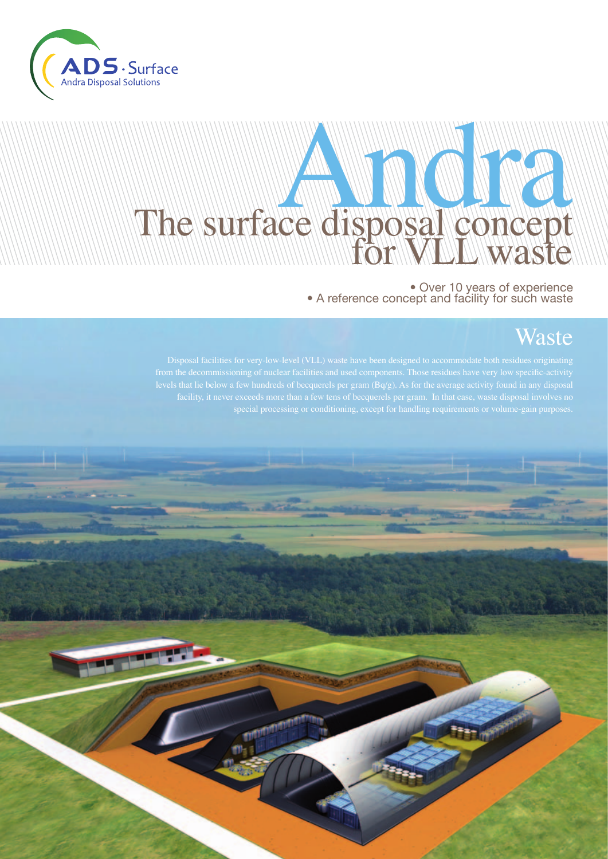

# **Celdisposanconcept** The surface disposal concept

### • Over 10 years of experience • A reference concept and facility for such waste

### Waste

levels that lie below a few hundreds of becquerels per gram (Bq/g). As for the average activity found in any disposal

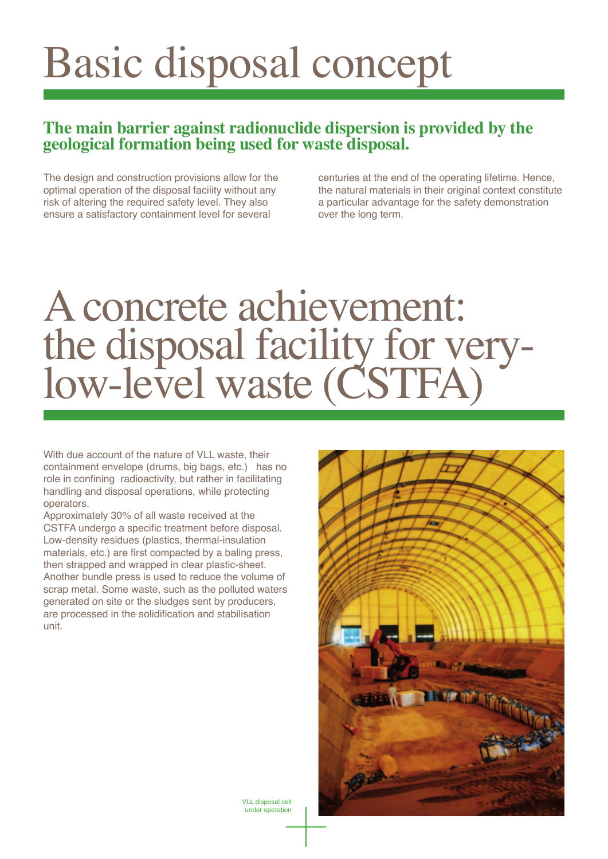## Basic disposal concept

#### **The main barrier against radionuclide dispersion is provided by the geological formation being used for waste disposal.**

The design and construction provisions allow for the optimal operation of the disposal facility without any risk of altering the required safety level. They also ensure a satisfactory containment level for several

centuries at the end of the operating lifetime. Hence, the natural materials in their original context constitute a particular advantage for the safety demonstration over the long term.

### A concrete achievement: the disposal facility for verylow-level waste (CSTFA)

With due account of the nature of VLL waste, their containment envelope (drums, big bags, etc.) has no role in confining radioactivity, but rather in facilitating handling and disposal operations, while protecting operators.

Approximately 30% of all waste received at the CSTFA undergo a specific treatment before disposal. Low-density residues (plastics, thermal-insulation materials, etc.) are first compacted by a baling press, then strapped and wrapped in clear plastic-sheet. Another bundle press is used to reduce the volume of scrap metal. Some waste, such as the polluted waters generated on site or the sludges sent by producers, are processed in the solidification and stabilisation unit.



VLL disposal cell under operation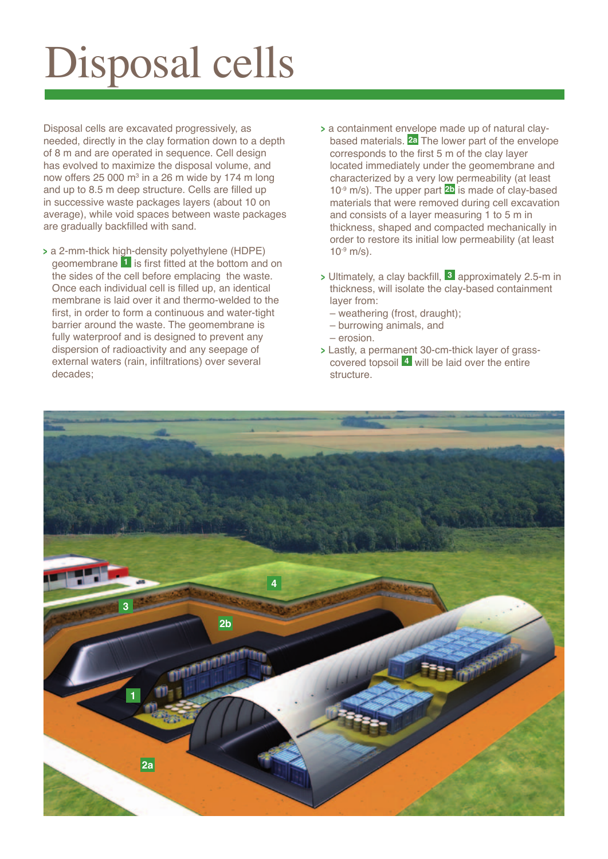# Disposal cells

Disposal cells are excavated progressively, as needed, directly in the clay formation down to a depth of 8 m and are operated in sequence. Cell design has evolved to maximize the disposal volume, and now offers 25 000 m<sup>3</sup> in a 26 m wide by 174 m long and up to 8.5 m deep structure. Cells are filled up in successive waste packages layers (about 10 on average), while void spaces between waste packages are gradually backfilled with sand.

- **<sup>&</sup>gt;** a 2-mm-thick high-density polyethylene (HDPE) geomembrane **1** is first fitted at the bottom and on the sides of the cell before emplacing the waste. Once each individual cell is filled up, an identical membrane is laid over it and thermo-welded to the first, in order to form a continuous and water-tight barrier around the waste. The geomembrane is fully waterproof and is designed to prevent any dispersion of radioactivity and any seepage of external waters (rain, infiltrations) over several decades;
- **<sup>&</sup>gt;** a containment envelope made up of natural claybased materials. **2a** The lower part of the envelope corresponds to the first 5 m of the clay layer located immediately under the geomembrane and characterized by a very low permeability (at least 10-9 m/s). The upper part **2b** is made of clay-based materials that were removed during cell excavation and consists of a layer measuring 1 to 5 m in thickness, shaped and compacted mechanically in order to restore its initial low permeability (at least  $10^{-9}$  m/s).
- **<sup>&</sup>gt;** Ultimately, a clay backfill, **3** approximately 2.5-m in thickness, will isolate the clay-based containment layer from:
	- weathering (frost, draught);
	- burrowing animals, and
	- erosion.
- **<sup>&</sup>gt;** Lastly, a permanent 30-cm-thick layer of grasscovered topsoil **4** will be laid over the entire structure.